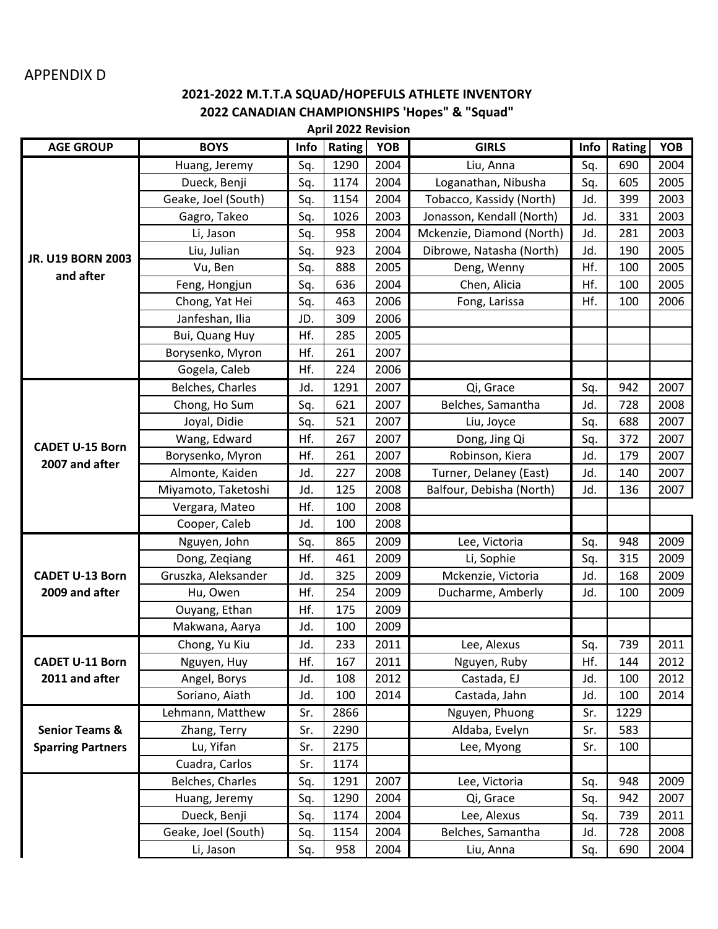## APPENDIX D

## **2021-2022 M.T.T.A SQUAD/HOPEFULS ATHLETE INVENTORY 2022 CANADIAN CHAMPIONSHIPS 'Hopes" & "Squad"**

| <b>April 2022 Revision</b>                            |                     |      |        |            |                           |      |        |            |  |  |  |
|-------------------------------------------------------|---------------------|------|--------|------------|---------------------------|------|--------|------------|--|--|--|
| <b>AGE GROUP</b>                                      | <b>BOYS</b>         | Info | Rating | <b>YOB</b> | <b>GIRLS</b>              | Info | Rating | <b>YOB</b> |  |  |  |
|                                                       | Huang, Jeremy       | Sq.  | 1290   | 2004       | Liu, Anna                 | Sq.  | 690    | 2004       |  |  |  |
|                                                       | Dueck, Benji        | Sq.  | 1174   | 2004       | Loganathan, Nibusha       | Sq.  | 605    | 2005       |  |  |  |
|                                                       | Geake, Joel (South) | Sq.  | 1154   | 2004       | Tobacco, Kassidy (North)  | Jd.  | 399    | 2003       |  |  |  |
|                                                       | Gagro, Takeo        | Sq.  | 1026   | 2003       | Jonasson, Kendall (North) | Jd.  | 331    | 2003       |  |  |  |
|                                                       | Li, Jason           | Sq.  | 958    | 2004       | Mckenzie, Diamond (North) | Jd.  | 281    | 2003       |  |  |  |
| <b>JR. U19 BORN 2003</b>                              | Liu, Julian         | Sq.  | 923    | 2004       | Dibrowe, Natasha (North)  | Jd.  | 190    | 2005       |  |  |  |
| and after                                             | Vu, Ben             | Sq.  | 888    | 2005       | Deng, Wenny               | Hf.  | 100    | 2005       |  |  |  |
|                                                       | Feng, Hongjun       | Sq.  | 636    | 2004       | Chen, Alicia              | Hf.  | 100    | 2005       |  |  |  |
|                                                       | Chong, Yat Hei      | Sq.  | 463    | 2006       | Fong, Larissa             | Hf.  | 100    | 2006       |  |  |  |
|                                                       | Janfeshan, Ilia     | JD.  | 309    | 2006       |                           |      |        |            |  |  |  |
|                                                       | Bui, Quang Huy      | Hf.  | 285    | 2005       |                           |      |        |            |  |  |  |
|                                                       | Borysenko, Myron    | Hf.  | 261    | 2007       |                           |      |        |            |  |  |  |
|                                                       | Gogela, Caleb       | Hf.  | 224    | 2006       |                           |      |        |            |  |  |  |
|                                                       | Belches, Charles    | Jd.  | 1291   | 2007       | Qi, Grace                 | Sq.  | 942    | 2007       |  |  |  |
|                                                       | Chong, Ho Sum       | Sq.  | 621    | 2007       | Belches, Samantha         | Jd.  | 728    | 2008       |  |  |  |
|                                                       | Joyal, Didie        | Sq.  | 521    | 2007       | Liu, Joyce                | Sq.  | 688    | 2007       |  |  |  |
|                                                       | Wang, Edward        | Hf.  | 267    | 2007       | Dong, Jing Qi             | Sq.  | 372    | 2007       |  |  |  |
| <b>CADET U-15 Born</b>                                | Borysenko, Myron    | Hf.  | 261    | 2007       | Robinson, Kiera           | Jd.  | 179    | 2007       |  |  |  |
| 2007 and after                                        | Almonte, Kaiden     | Jd.  | 227    | 2008       | Turner, Delaney (East)    | Jd.  | 140    | 2007       |  |  |  |
|                                                       | Miyamoto, Taketoshi | Jd.  | 125    | 2008       | Balfour, Debisha (North)  | Jd.  | 136    | 2007       |  |  |  |
|                                                       | Vergara, Mateo      | Hf.  | 100    | 2008       |                           |      |        |            |  |  |  |
|                                                       | Cooper, Caleb       | Jd.  | 100    | 2008       |                           |      |        |            |  |  |  |
|                                                       | Nguyen, John        | Sq.  | 865    | 2009       | Lee, Victoria             | Sq.  | 948    | 2009       |  |  |  |
|                                                       | Dong, Zeqiang       | Hf.  | 461    | 2009       | Li, Sophie                | Sq.  | 315    | 2009       |  |  |  |
| <b>CADET U-13 Born</b><br>2009 and after              | Gruszka, Aleksander | Jd.  | 325    | 2009       | Mckenzie, Victoria        | Jd.  | 168    | 2009       |  |  |  |
|                                                       | Hu, Owen            | Hf.  | 254    | 2009       | Ducharme, Amberly         | Jd.  | 100    | 2009       |  |  |  |
|                                                       | Ouyang, Ethan       | Hf.  | 175    | 2009       |                           |      |        |            |  |  |  |
|                                                       | Makwana, Aarya      | Jd.  | 100    | 2009       |                           |      |        |            |  |  |  |
|                                                       | Chong, Yu Kiu       | Jd.  | 233    | 2011       | Lee, Alexus               | Sq.  | 739    | 2011       |  |  |  |
| <b>CADET U-11 Born</b>                                | Nguyen, Huy         | Hf.  | 167    | 2011       | Nguyen, Ruby              | Hf.  | 144    | 2012       |  |  |  |
| 2011 and after                                        | Angel, Borys        | Jd.  | 108    | 2012       | Castada, EJ               | Jd.  | 100    | 2012       |  |  |  |
|                                                       | Soriano, Aiath      | Jd.  | 100    | 2014       | Castada, Jahn             | Jd.  | 100    | 2014       |  |  |  |
| <b>Senior Teams &amp;</b><br><b>Sparring Partners</b> | Lehmann, Matthew    | Sr.  | 2866   |            | Nguyen, Phuong            | Sr.  | 1229   |            |  |  |  |
|                                                       | Zhang, Terry        | Sr.  | 2290   |            | Aldaba, Evelyn            | Sr.  | 583    |            |  |  |  |
|                                                       | Lu, Yifan           | Sr.  | 2175   |            | Lee, Myong                | Sr.  | 100    |            |  |  |  |
|                                                       | Cuadra, Carlos      | Sr.  | 1174   |            |                           |      |        |            |  |  |  |
|                                                       | Belches, Charles    | Sq.  | 1291   | 2007       | Lee, Victoria             | Sq.  | 948    | 2009       |  |  |  |
|                                                       | Huang, Jeremy       | Sq.  | 1290   | 2004       | Qi, Grace                 | Sq.  | 942    | 2007       |  |  |  |
|                                                       | Dueck, Benji        | Sq.  | 1174   | 2004       | Lee, Alexus               | Sq.  | 739    | 2011       |  |  |  |
|                                                       | Geake, Joel (South) | Sq.  | 1154   | 2004       | Belches, Samantha         | Jd.  | 728    | 2008       |  |  |  |
|                                                       | Li, Jason           | Sq.  | 958    | 2004       | Liu, Anna                 | Sq.  | 690    | 2004       |  |  |  |